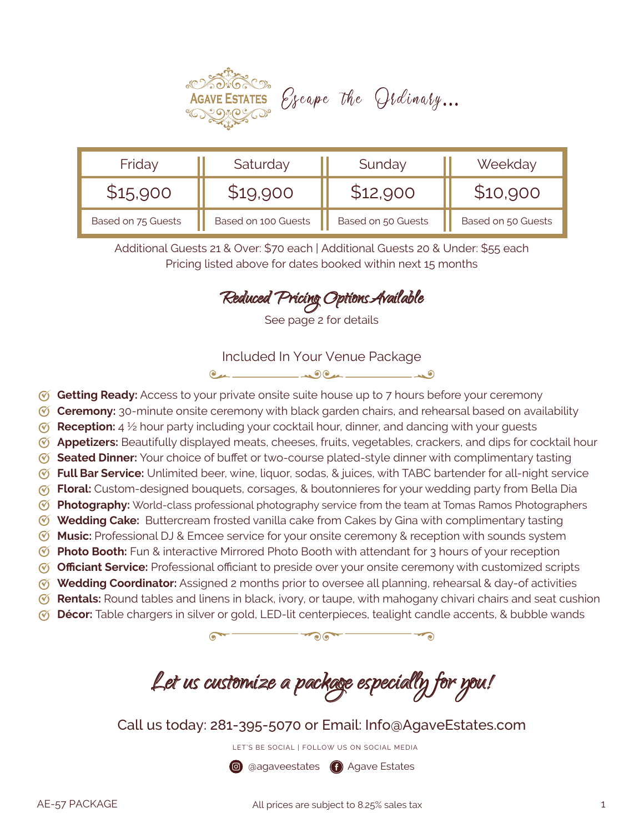

| Friday             | Saturday            | Sunday             | Weekday            |
|--------------------|---------------------|--------------------|--------------------|
| \$15,900           |                     | \$12,900           | \$10,900           |
| Based on 75 Guests | Based on 100 Guests | Based on 50 Guests | Based on 50 Guests |

Additional Guests 21 & Over: \$70 each | Additional Guests 20 & Under: \$55 each Pricing listed above for dates booked within next 15 months

Reduced Pricing OptionsAvailable

See page 2 for details

Included In Your Venue Package

 $24 - 12$ 

- **Getting Ready:** Access to your private onsite suite house up to 7 hours before your ceremony
- **Ceremony:** 30-minute onsite ceremony with black garden chairs, and rehearsal based on availability
- *C* Reception: 4 <sup>1/2</sup> hour party including your cocktail hour, dinner, and dancing with your guests
- **Appetizers:** Beautifully displayed meats, cheeses, fruits, vegetables, crackers, and dips for cocktail hour
- **Seated Dinner:** Your choice of buffet or two-course plated-style dinner with complimentary tasting
- **Full Bar Service:** Unlimited beer, wine, liquor, sodas, & juices, with TABC bartender for all-night service
- *T* Floral: Custom-designed bouquets, corsages, & boutonnieres for your wedding party from Bella Dia
- **Photography:** World-class professional photography service from the team at Tomas Ramos Photographers
- **Wedding Cake:** Buttercream frosted vanilla cake from Cakes by Gina with complimentary tasting
- **Music:** Professional DJ & Emcee service for your onsite ceremony & reception with sounds system
- *C* Photo Booth: Fun & interactive Mirrored Photo Booth with attendant for 3 hours of your reception
- **Officiant Service:** Professional officiant to preside over your onsite ceremony with customized scripts
- **Wedding Coordinator:** Assigned 2 months prior to oversee all planning, rehearsal & day-of activities **Rentals:** Round tables and linens in black, ivory, or taupe, with mahogany chivari chairs and seat cushion
- **Décor:** Table chargers in silver or gold, LED-lit centerpieces, tealight candle accents, & bubble wands

 $\overbrace{\hspace{2.5cm}}^{0.07}$ 

Let us customize a package especially for you!

Call us today: 281-395-5070 or Email: Info@AgaveEstates.com

LET'S BE SOCIAL | FOLLOW US ON SOCIAL MEDIA

**@** @agaveestates **@** Agave Estates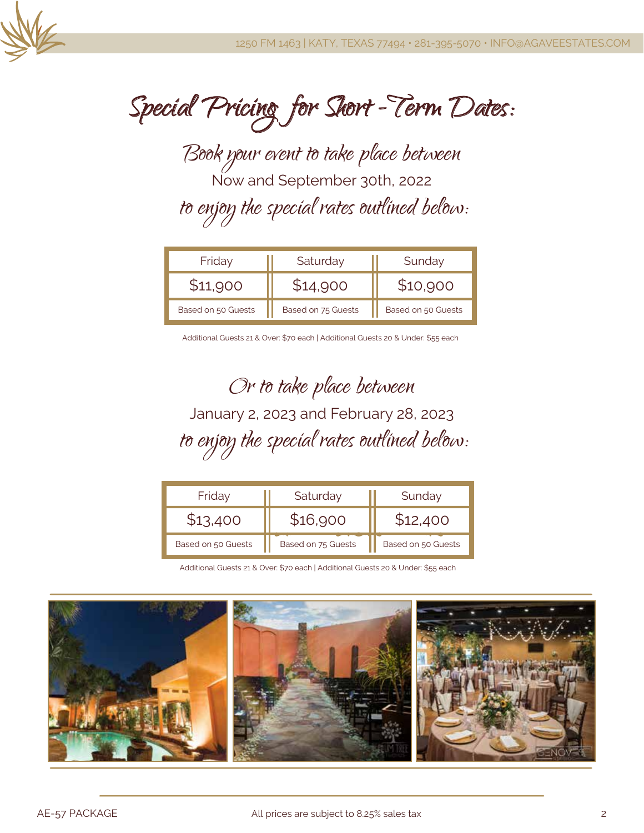

Special Pricing for Short -Term Dates:

Book your event to take place between Now and September 30th, 2022 to enjoy the special rates outlined below:

| Friday             | Saturday           | Sunday             |  |
|--------------------|--------------------|--------------------|--|
| \$11,900           | \$14,900           | \$10,900           |  |
| Based on 50 Guests | Based on 75 Guests | Based on 50 Guests |  |

Additional Guests 21 & Over: \$70 each | Additional Guests 20 & Under: \$55 each

Or to take place between January 2, 2023 and February 28, 2023 to enjoy the special rates outlined below:

| Friday             | Saturday           | Sunday             |  |
|--------------------|--------------------|--------------------|--|
|                    | \$16,900           | \$12,400           |  |
| Based on 50 Guests | Based on 75 Guests | Based on 50 Guests |  |

Additional Guests 21 & Over: \$70 each | Additional Guests 20 & Under: \$55 each

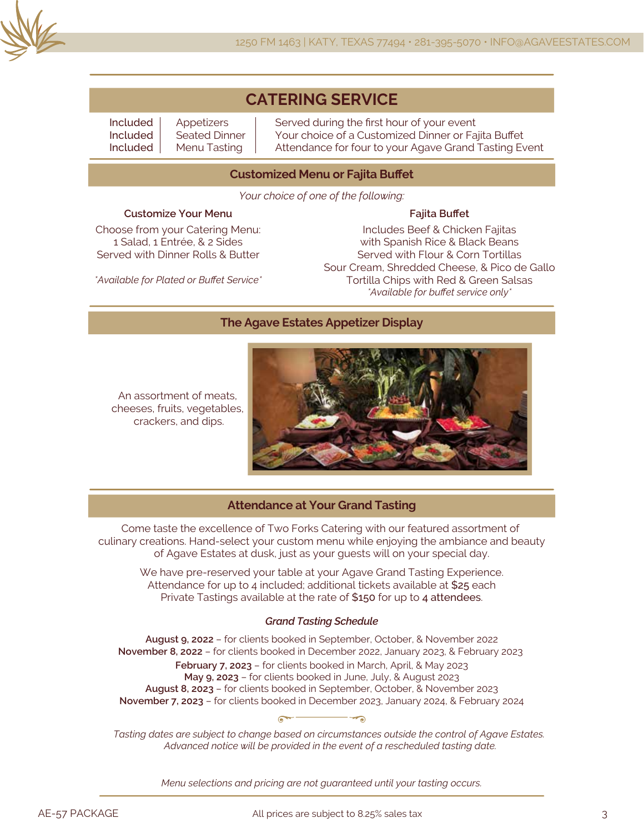

# **CATERING SERVICE**

Included Included Included

Appetizers Seated Dinner Menu Tasting

Served during the first hour of your event Your choice of a Customized Dinner or Fajita Buffet Attendance for four to your Agave Grand Tasting Event

#### **Customized Menu or Fajita Buffet**

*Your choice of one of the following:*

#### **Customize Your Menu**

Choose from your Catering Menu: 1 Salad, 1 Entrée, & 2 Sides Served with Dinner Rolls & Butter

**Fajita Buffet** Includes Beef & Chicken Fajitas with Spanish Rice & Black Beans Served with Flour & Corn Tortillas Sour Cream, Shredded Cheese, & Pico de Gallo Tortilla Chips with Red & Green Salsas *\*Available for buffet service only\**

*\*Available for Plated or Buffet Service\**

#### **The Agave Estates Appetizer Display**

An assortment of meats, cheeses, fruits, vegetables, crackers, and dips.



#### **Attendance at Your Grand Tasting**

Come taste the excellence of Two Forks Catering with our featured assortment of culinary creations. Hand-select your custom menu while enjoying the ambiance and beauty of Agave Estates at dusk, just as your guests will on your special day.

We have pre-reserved your table at your Agave Grand Tasting Experience. Attendance for up to 4 included; additional tickets available at \$25 each Private Tastings available at the rate of \$150 for up to 4 attendees.

#### *Grand Tasting Schedule*

**August 9, 2022** – for clients booked in September, October, & November 2022 **November 8, 2022** – for clients booked in December 2022, January 2023, & February 2023 **February 7, 2023** – for clients booked in March, April, & May 2023 **May 9, 2023** – for clients booked in June, July, & August 2023 **August 8, 2023** – for clients booked in September, October, & November 2023 **November 7, 2023** – for clients booked in December 2023, January 2024, & February 2024

*Tasting dates are subject to change based on circumstances outside the control of Agave Estates. Advanced notice will be provided in the event of a rescheduled tasting date.*

*Menu selections and pricing are not guaranteed until your tasting occurs.*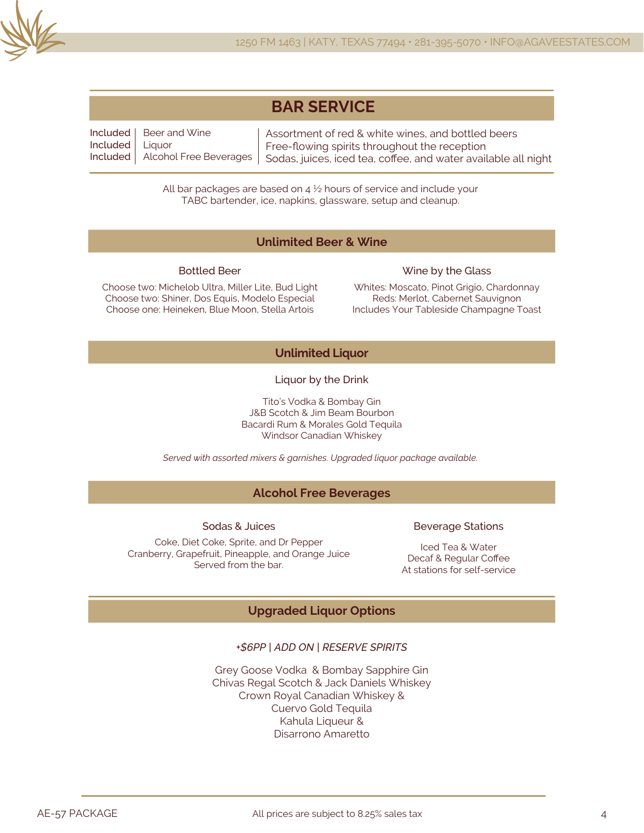

| <b>BAR SERVICE</b> |
|--------------------|
|--------------------|

Included Included Included Alcohol Free Beverages Beer and Wine **Liquor** Assortment of red & white wines, and bottled beers Free-flowing spirits throughout the reception Sodas, juices, iced tea, coffee, and water available all night

> All bar packages are based on  $4\frac{1}{2}$  hours of service and include your TABC bartender, ice, napkins, glassware, setup and cleanup.

#### **Unlimited Beer & Wine**

#### Bottled Beer

Choose two: Michelob Ultra, Miller Lite, Bud Light Choose two: Shiner, Dos Equis, Modelo Especial Choose one: Heineken, Blue Moon, Stella Artois

#### Wine by the Glass

Whites: Moscato, Pinot Grigio, Chardonnay Reds: Merlot, Cabernet Sauvignon Includes Your Tableside Champagne Toast

### **Unlimited Liquor**

Liquor by the Drink

Tito's Vodka & Bombay Gin J&B Scotch & Jim Beam Bourbon Bacardi Rum & Morales Gold Tequila Windsor Canadian Whiskey

*Served with assorted mixers & garnishes. Upgraded liquor package available.*

### **Alcohol Free Beverages**

Sodas & Juices

#### Coke, Diet Coke, Sprite, and Dr Pepper Cranberry, Grapefruit, Pineapple, and Orange Juice Served from the bar.

#### Beverage Stations

Iced Tea & Water Decaf & Regular Coffee At stations for self-service

## **Upgraded Liquor Options**

### *+\$6PP | ADD ON | RESERVE SPIRITS*

Grey Goose Vodka & Bombay Sapphire Gin Chivas Regal Scotch & Jack Daniels Whiskey Crown Royal Canadian Whiskey & Cuervo Gold Tequila Kahula Liqueur & Disarrono Amaretto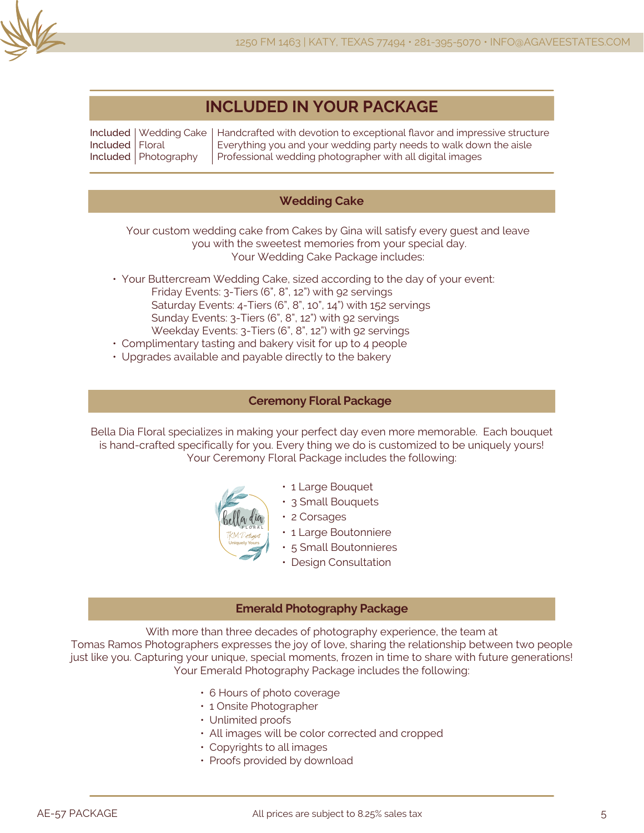

# **INCLUDED IN YOUR PACKAGE**

Included Wedding Cake Included Included Photography Floral Handcrafted with devotion to exceptional flavor and impressive structure Everything you and your wedding party needs to walk down the aisle Professional wedding photographer with all digital images

## **Wedding Cake**

Your custom wedding cake from Cakes by Gina will satisfy every guest and leave you with the sweetest memories from your special day. Your Wedding Cake Package includes:

- Your Buttercream Wedding Cake, sized according to the day of your event: Friday Events: 3-Tiers (6", 8", 12") with 92 servings Saturday Events: 4-Tiers (6", 8", 10", 14") with 152 servings Sunday Events: 3-Tiers (6", 8", 12") with 92 servings Weekday Events: 3-Tiers (6", 8", 12") with 92 servings
- Complimentary tasting and bakery visit for up to 4 people
- Upgrades available and payable directly to the bakery

#### **Ceremony Floral Package**

Bella Dia Floral specializes in making your perfect day even more memorable. Each bouquet is hand-crafted specifically for you. Every thing we do is customized to be uniquely yours! Your Ceremony Floral Package includes the following:



- 1 Large Bouquet
- 3 Small Bouquets
- 2 Corsages
	- 1 Large Boutonniere
	- 5 Small Boutonnieres
	- Design Consultation

#### **Emerald Photography Package**

With more than three decades of photography experience, the team at

Tomas Ramos Photographers expresses the joy of love, sharing the relationship between two people just like you. Capturing your unique, special moments, frozen in time to share with future generations! Your Emerald Photography Package includes the following:

- 6 Hours of photo coverage
- 1 Onsite Photographer
- Unlimited proofs
- All images will be color corrected and cropped
- Copyrights to all images
- Proofs provided by download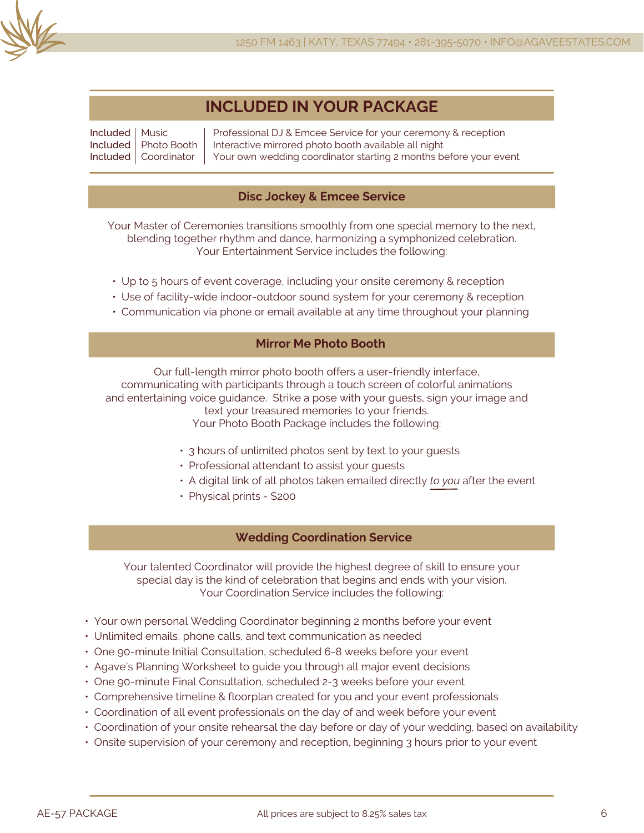

# **INCLUDED IN YOUR PACKAGE**

Included Music Included Included Coordinator Photo Booth Professional DJ & Emcee Service for your ceremony & reception Interactive mirrored photo booth available all night Your own wedding coordinator starting 2 months before your event

### **Disc Jockey & Emcee Service**

Your Master of Ceremonies transitions smoothly from one special memory to the next, blending together rhythm and dance, harmonizing a symphonized celebration. Your Entertainment Service includes the following:

- Up to 5 hours of event coverage, including your onsite ceremony & reception
- Use of facility-wide indoor-outdoor sound system for your ceremony & reception
- Communication via phone or email available at any time throughout your planning

## **Mirror Me Photo Booth**

Our full-length mirror photo booth offers a user-friendly interface, communicating with participants through a touch screen of colorful animations and entertaining voice guidance. Strike a pose with your guests, sign your image and text your treasured memories to your friends. Your Photo Booth Package includes the following:

- 3 hours of unlimited photos sent by text to your guests
- Professional attendant to assist your guests
- A digital link of all photos taken emailed directly *to you* after the event
- Physical prints \$200

### **Wedding Coordination Service**

Your talented Coordinator will provide the highest degree of skill to ensure your special day is the kind of celebration that begins and ends with your vision. Your Coordination Service includes the following:

- Your own personal Wedding Coordinator beginning 2 months before your event
- Unlimited emails, phone calls, and text communication as needed
- One 90-minute Initial Consultation, scheduled 6-8 weeks before your event
- Agave's Planning Worksheet to guide you through all major event decisions
- One 90-minute Final Consultation, scheduled 2-3 weeks before your event
- Comprehensive timeline & floorplan created for you and your event professionals
- Coordination of all event professionals on the day of and week before your event
- Coordination of your onsite rehearsal the day before or day of your wedding, based on availability
- Onsite supervision of your ceremony and reception, beginning 3 hours prior to your event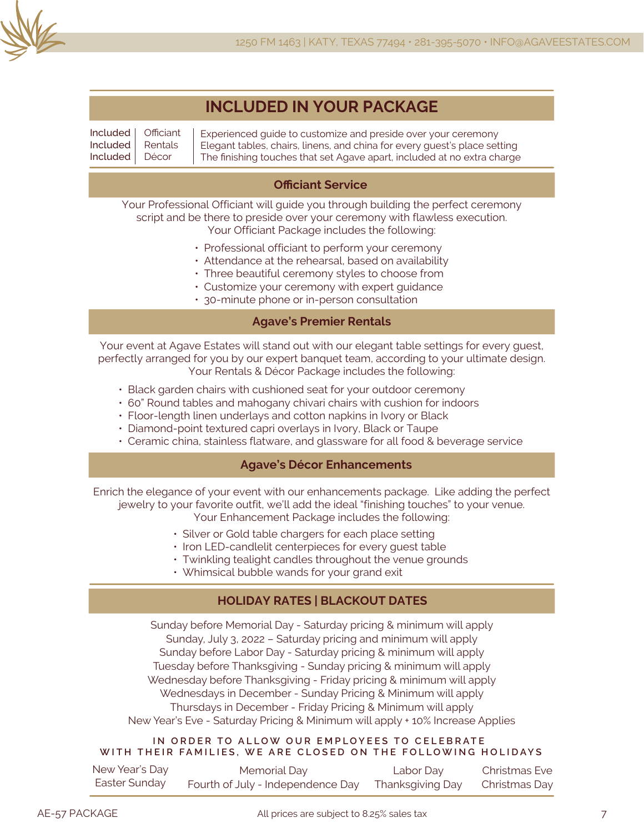

Included Included Included **Officiant** Rentals Décor

Experienced guide to customize and preside over your ceremony Elegant tables, chairs, linens, and china for every guest's place setting The finishing touches that set Agave apart, included at no extra charge

## **Officiant Service**

Your Professional Officiant will guide you through building the perfect ceremony script and be there to preside over your ceremony with flawless execution. Your Officiant Package includes the following:

- Professional officiant to perform your ceremony
- Attendance at the rehearsal, based on availability
- Three beautiful ceremony styles to choose from
- Customize your ceremony with expert guidance
- 30-minute phone or in-person consultation

## **Agave's Premier Rentals**

Your event at Agave Estates will stand out with our elegant table settings for every guest, perfectly arranged for you by our expert banquet team, according to your ultimate design. Your Rentals & Décor Package includes the following:

- Black garden chairs with cushioned seat for your outdoor ceremony
- 60" Round tables and mahogany chivari chairs with cushion for indoors
- Floor-length linen underlays and cotton napkins in Ivory or Black
- Diamond-point textured capri overlays in Ivory, Black or Taupe
- Ceramic china, stainless flatware, and glassware for all food & beverage service

### **Agave's Décor Enhancements**

Enrich the elegance of your event with our enhancements package. Like adding the perfect jewelry to your favorite outfit, we'll add the ideal "finishing touches" to your venue. Your Enhancement Package includes the following:

- Silver or Gold table chargers for each place setting
- Iron LED-candlelit centerpieces for every guest table
- Twinkling tealight candles throughout the venue grounds
- Whimsical bubble wands for your grand exit

## **HOLIDAY RATES | BLACKOUT DATES**

Sunday before Memorial Day - Saturday pricing & minimum will apply Sunday, July 3, 2022 – Saturday pricing and minimum will apply Sunday before Labor Day - Saturday pricing & minimum will apply Tuesday before Thanksgiving - Sunday pricing & minimum will apply Wednesday before Thanksgiving - Friday pricing & minimum will apply Wednesdays in December - Sunday Pricing & Minimum will apply Thursdays in December - Friday Pricing & Minimum will apply New Year's Eve - Saturday Pricing & Minimum will apply + 10% Increase Applies

#### **IN ORDER TO ALLOW OUR EMPLOYEES TO CELEBRATE WITH THEIR FAMILIES, WE ARE CLOSED ON THE FOLLOWING HOLIDAYS**

| New Year's Day | Memorial Day                                       | Labor Day | Christmas Eve |
|----------------|----------------------------------------------------|-----------|---------------|
| Easter Sunday  | Fourth of July - Independence Day Thanksgiving Day |           | Christmas Day |